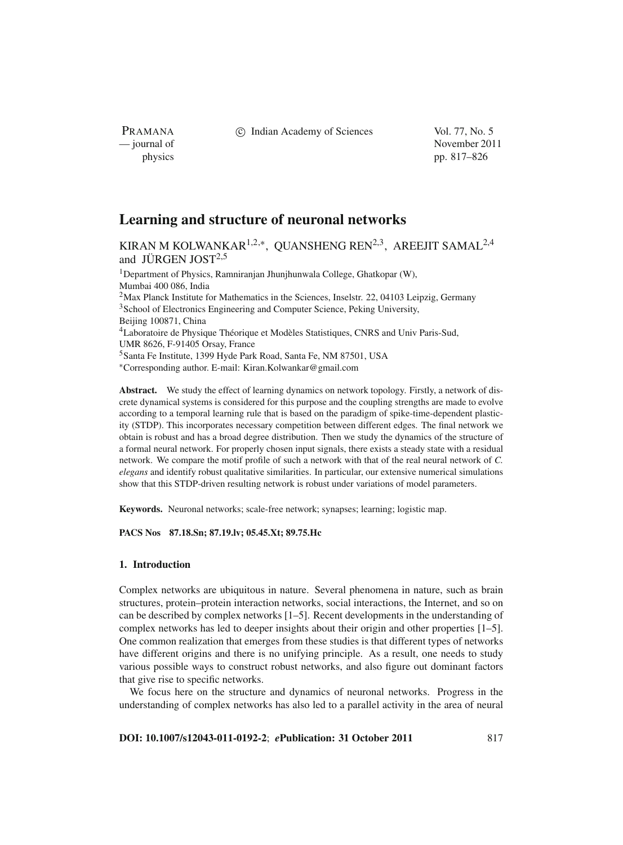PRAMANA

c Indian Academy of Sciences Vol. 77, No. 5

— journal of November 2011 physics pp. 817–826

# **Learning and structure of neuronal networks**

KIRAN M KOLWANKAR<sup>1,2,\*</sup>, QUANSHENG REN<sup>2,3</sup>, AREEJIT SAMAL<sup>2,4</sup> and JÜRGEN JOST $2,5$ 

<sup>1</sup>Department of Physics, Ramniranjan Jhunjhunwala College, Ghatkopar (W), Mumbai 400 086, India <sup>2</sup>Max Planck Institute for Mathematics in the Sciences, Inselstr. 22, 04103 Leipzig, Germany <sup>3</sup>School of Electronics Engineering and Computer Science, Peking University, Beijing 100871, China 4Laboratoire de Physique Théorique et Modèles Statistiques, CNRS and Univ Paris-Sud, UMR 8626, F-91405 Orsay, France 5Santa Fe Institute, 1399 Hyde Park Road, Santa Fe, NM 87501, USA <sup>∗</sup>Corresponding author. E-mail: Kiran.Kolwankar@gmail.com

**Abstract.** We study the effect of learning dynamics on network topology. Firstly, a network of discrete dynamical systems is considered for this purpose and the coupling strengths are made to evolve according to a temporal learning rule that is based on the paradigm of spike-time-dependent plasticity (STDP). This incorporates necessary competition between different edges. The final network we obtain is robust and has a broad degree distribution. Then we study the dynamics of the structure of a formal neural network. For properly chosen input signals, there exists a steady state with a residual network. We compare the motif profile of such a network with that of the real neural network of *C. elegans* and identify robust qualitative similarities. In particular, our extensive numerical simulations show that this STDP-driven resulting network is robust under variations of model parameters.

**Keywords.** Neuronal networks; scale-free network; synapses; learning; logistic map.

**PACS Nos 87.18.Sn; 87.19.lv; 05.45.Xt; 89.75.Hc**

# **1. Introduction**

Complex networks are ubiquitous in nature. Several phenomena in nature, such as brain structures, protein–protein interaction networks, social interactions, the Internet, and so on can be described by complex networks [1–5]. Recent developments in the understanding of complex networks has led to deeper insights about their origin and other properties [1–5]. One common realization that emerges from these studies is that different types of networks have different origins and there is no unifying principle. As a result, one needs to study various possible ways to construct robust networks, and also figure out dominant factors that give rise to specific networks.

We focus here on the structure and dynamics of neuronal networks. Progress in the understanding of complex networks has also led to a parallel activity in the area of neural

**DOI: 10.1007/s12043-011-0192-2**; *e***Publication: 31 October 2011** 817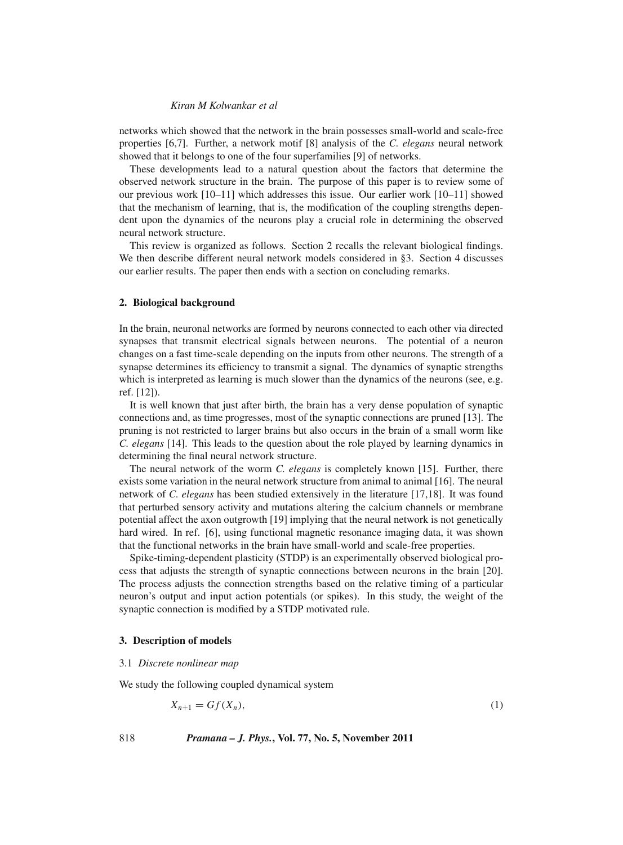networks which showed that the network in the brain possesses small-world and scale-free properties [6,7]. Further, a network motif [8] analysis of the *C. elegans* neural network showed that it belongs to one of the four superfamilies [9] of networks.

These developments lead to a natural question about the factors that determine the observed network structure in the brain. The purpose of this paper is to review some of our previous work [10–11] which addresses this issue. Our earlier work [10–11] showed that the mechanism of learning, that is, the modification of the coupling strengths dependent upon the dynamics of the neurons play a crucial role in determining the observed neural network structure.

This review is organized as follows. Section 2 recalls the relevant biological findings. We then describe different neural network models considered in §3. Section 4 discusses our earlier results. The paper then ends with a section on concluding remarks.

#### **2. Biological background**

In the brain, neuronal networks are formed by neurons connected to each other via directed synapses that transmit electrical signals between neurons. The potential of a neuron changes on a fast time-scale depending on the inputs from other neurons. The strength of a synapse determines its efficiency to transmit a signal. The dynamics of synaptic strengths which is interpreted as learning is much slower than the dynamics of the neurons (see, e.g. ref. [12]).

It is well known that just after birth, the brain has a very dense population of synaptic connections and, as time progresses, most of the synaptic connections are pruned [13]. The pruning is not restricted to larger brains but also occurs in the brain of a small worm like *C. elegans* [14]. This leads to the question about the role played by learning dynamics in determining the final neural network structure.

The neural network of the worm *C. elegans* is completely known [15]. Further, there exists some variation in the neural network structure from animal to animal [16]. The neural network of *C. elegans* has been studied extensively in the literature [17,18]. It was found that perturbed sensory activity and mutations altering the calcium channels or membrane potential affect the axon outgrowth [19] implying that the neural network is not genetically hard wired. In ref. [6], using functional magnetic resonance imaging data, it was shown that the functional networks in the brain have small-world and scale-free properties.

Spike-timing-dependent plasticity (STDP) is an experimentally observed biological process that adjusts the strength of synaptic connections between neurons in the brain [20]. The process adjusts the connection strengths based on the relative timing of a particular neuron's output and input action potentials (or spikes). In this study, the weight of the synaptic connection is modified by a STDP motivated rule.

# **3. Description of models**

# 3.1 *Discrete nonlinear map*

We study the following coupled dynamical system

$$
X_{n+1} = Gf(X_n),\tag{1}
$$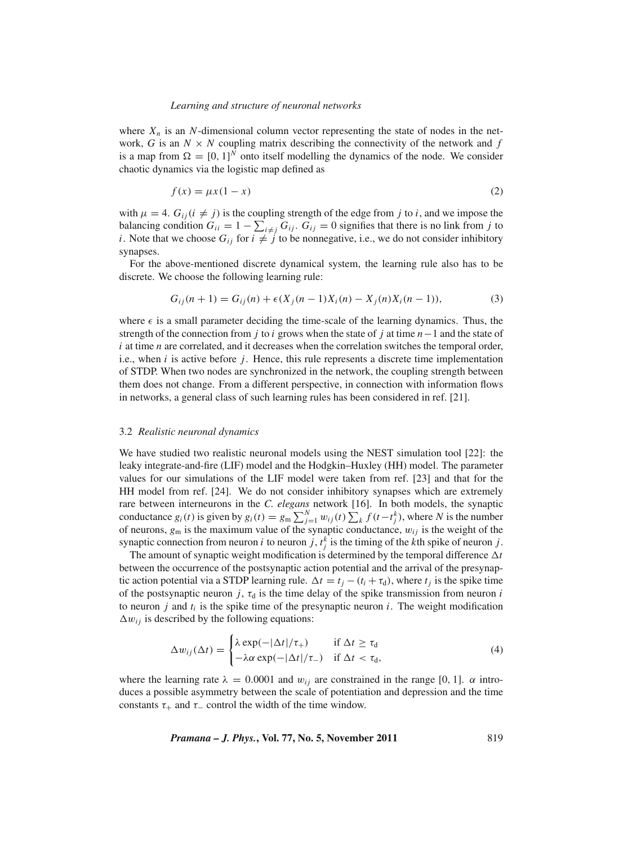where  $X_n$  is an N-dimensional column vector representing the state of nodes in the network, *G* is an  $N \times N$  coupling matrix describing the connectivity of the network and  $f$ is a map from  $\Omega = [0, 1]^N$  onto itself modelling the dynamics of the node. We consider chaotic dynamics via the logistic map defined as

$$
f(x) = \mu x (1 - x) \tag{2}
$$

with  $\mu = 4$ .  $G_{ii}$  ( $i \neq j$ ) is the coupling strength of the edge from *j* to *i*, and we impose the balancing condition  $G_{ii} = 1 - \sum_{i \neq j} G_{ij}$ .  $G_{ij} = 0$  signifies that there is no link from *j* to *i*. Note that we choose  $G_{ij}$  for  $i \neq j$  to be nonnegative, i.e., we do not consider inhibitory synapses.

For the above-mentioned discrete dynamical system, the learning rule also has to be discrete. We choose the following learning rule:

$$
G_{ij}(n+1) = G_{ij}(n) + \epsilon (X_j(n-1)X_i(n) - X_j(n)X_i(n-1)),
$$
\n(3)

where  $\epsilon$  is a small parameter deciding the time-scale of the learning dynamics. Thus, the strength of the connection from *j* to *i* grows when the state of *j* at time *n*−1 and the state of *i* at time *n* are correlated, and it decreases when the correlation switches the temporal order, i.e., when *i* is active before *j*. Hence, this rule represents a discrete time implementation of STDP. When two nodes are synchronized in the network, the coupling strength between them does not change. From a different perspective, in connection with information flows in networks, a general class of such learning rules has been considered in ref. [21].

#### 3.2 *Realistic neuronal dynamics*

We have studied two realistic neuronal models using the NEST simulation tool [22]: the leaky integrate-and-fire (LIF) model and the Hodgkin–Huxley (HH) model. The parameter values for our simulations of the LIF model were taken from ref. [23] and that for the HH model from ref. [24]. We do not consider inhibitory synapses which are extremely rare between interneurons in the *C. elegans* network [16]. In both models, the synaptic conductance  $g_i(t)$  is given by  $g_i(t) = g_m \sum_{j=1}^N w_{ij}(t) \sum_k f(t-t_j^k)$ , where *N* is the number of neurons,  $g_m$  is the maximum value of the synaptic conductance,  $w_{ij}$  is the weight of the synaptic connection from neuron *i* to neuron *j*,  $t_j^k$  is the timing of the *k*th spike of neuron *j*.

The amount of synaptic weight modification is determined by the temporal difference  $\Delta t$ between the occurrence of the postsynaptic action potential and the arrival of the presynaptic action potential via a STDP learning rule.  $\Delta t = t_j - (t_i + \tau_d)$ , where  $t_j$  is the spike time of the postsynaptic neuron  $j$ ,  $\tau_d$  is the time delay of the spike transmission from neuron *i* to neuron  $j$  and  $t_i$  is the spike time of the presynaptic neuron  $i$ . The weight modification  $\Delta w_{ij}$  is described by the following equations:

$$
\Delta w_{ij}(\Delta t) = \begin{cases} \lambda \exp(-|\Delta t|/\tau_+) & \text{if } \Delta t \ge \tau_d \\ -\lambda \alpha \exp(-|\Delta t|/\tau_-) & \text{if } \Delta t < \tau_d, \end{cases}
$$
(4)

where the learning rate  $\lambda = 0.0001$  and  $w_{ij}$  are constrained in the range [0, 1].  $\alpha$  introduces a possible asymmetry between the scale of potentiation and depression and the time constants  $\tau_+$  and  $\tau_-$  control the width of the time window.

*Pramana – J. Phys.***, Vol. 77, No. 5, November 2011** 819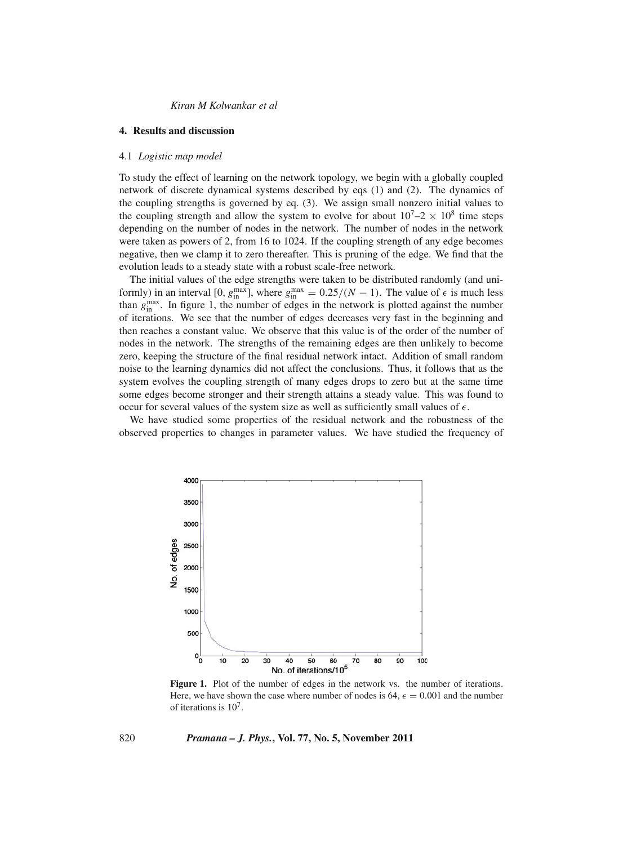### **4. Results and discussion**

#### 4.1 *Logistic map model*

To study the effect of learning on the network topology, we begin with a globally coupled network of discrete dynamical systems described by eqs (1) and (2). The dynamics of the coupling strengths is governed by eq. (3). We assign small nonzero initial values to the coupling strength and allow the system to evolve for about  $10^7 - 2 \times 10^8$  time steps depending on the number of nodes in the network. The number of nodes in the network were taken as powers of 2, from 16 to 1024. If the coupling strength of any edge becomes negative, then we clamp it to zero thereafter. This is pruning of the edge. We find that the evolution leads to a steady state with a robust scale-free network.

The initial values of the edge strengths were taken to be distributed randomly (and uniformly) in an interval [0,  $g_{\text{in}}^{\text{max}}$ ], where  $g_{\text{in}}^{\text{max}} = 0.25/(N - 1)$ . The value of  $\epsilon$  is much less than  $g_{\text{in}}^{\text{max}}$ . In figure 1, the number of edges in the network is plotted against the number of iterations. We see that the number of edges decreases very fast in the beginning and then reaches a constant value. We observe that this value is of the order of the number of nodes in the network. The strengths of the remaining edges are then unlikely to become zero, keeping the structure of the final residual network intact. Addition of small random noise to the learning dynamics did not affect the conclusions. Thus, it follows that as the system evolves the coupling strength of many edges drops to zero but at the same time some edges become stronger and their strength attains a steady value. This was found to occur for several values of the system size as well as sufficiently small values of  $\epsilon$ .

We have studied some properties of the residual network and the robustness of the observed properties to changes in parameter values. We have studied the frequency of



**Figure 1.** Plot of the number of edges in the network vs. the number of iterations. Here, we have shown the case where number of nodes is 64,  $\epsilon = 0.001$  and the number of iterations is  $10<sup>7</sup>$ .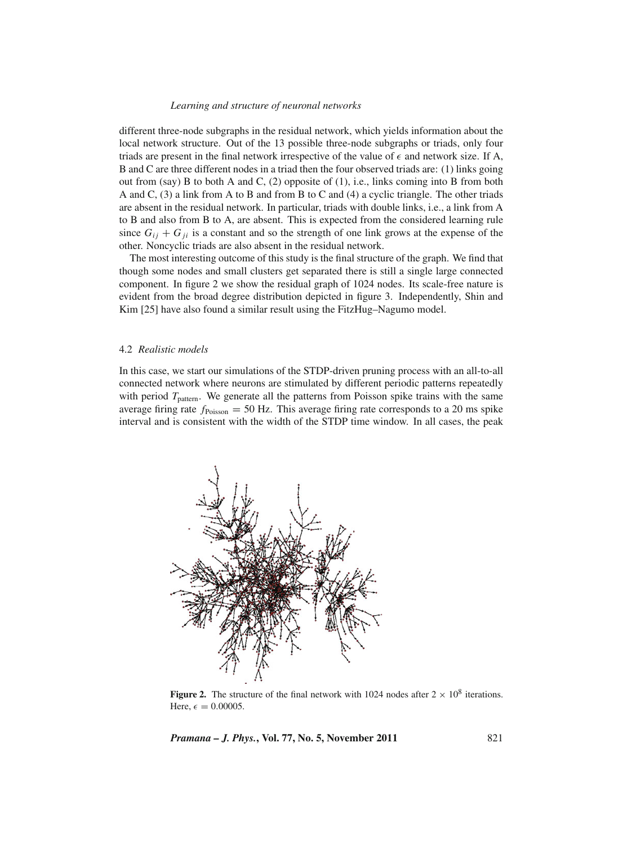different three-node subgraphs in the residual network, which yields information about the local network structure. Out of the 13 possible three-node subgraphs or triads, only four triads are present in the final network irrespective of the value of  $\epsilon$  and network size. If A, B and C are three different nodes in a triad then the four observed triads are: (1) links going out from (say) B to both A and C,  $(2)$  opposite of  $(1)$ , i.e., links coming into B from both A and C, (3) a link from A to B and from B to C and (4) a cyclic triangle. The other triads are absent in the residual network. In particular, triads with double links, i.e., a link from A to B and also from B to A, are absent. This is expected from the considered learning rule since  $G_{ij} + G_{ji}$  is a constant and so the strength of one link grows at the expense of the other. Noncyclic triads are also absent in the residual network.

The most interesting outcome of this study is the final structure of the graph. We find that though some nodes and small clusters get separated there is still a single large connected component. In figure 2 we show the residual graph of 1024 nodes. Its scale-free nature is evident from the broad degree distribution depicted in figure 3. Independently, Shin and Kim [25] have also found a similar result using the FitzHug–Nagumo model.

### 4.2 *Realistic models*

In this case, we start our simulations of the STDP-driven pruning process with an all-to-all connected network where neurons are stimulated by different periodic patterns repeatedly with period  $T_{\text{pattern}}$ . We generate all the patterns from Poisson spike trains with the same average firing rate  $f_{\text{Poisson}} = 50$  Hz. This average firing rate corresponds to a 20 ms spike interval and is consistent with the width of the STDP time window. In all cases, the peak



**Figure 2.** The structure of the final network with 1024 nodes after  $2 \times 10^8$  iterations. Here,  $\epsilon = 0.00005$ .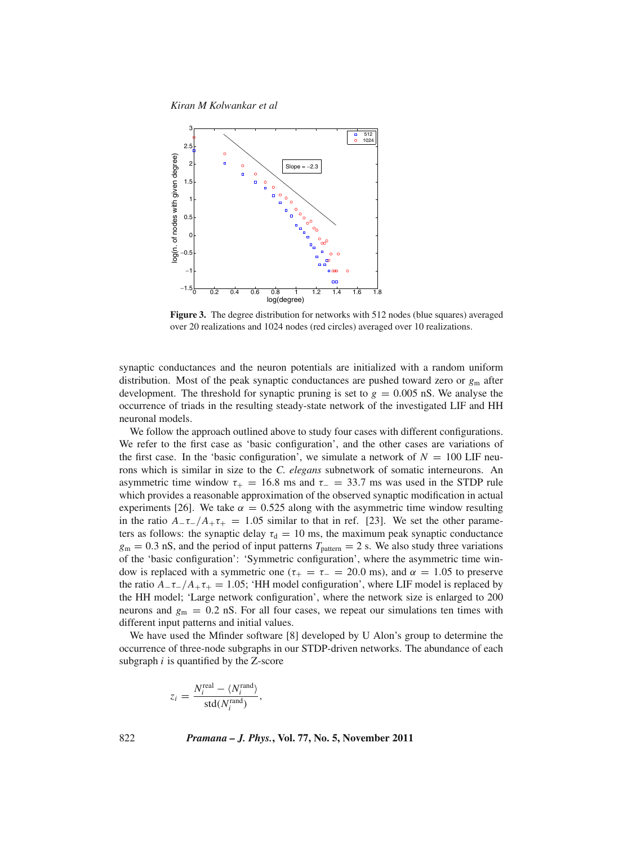*Kiran M Kolwankar et al*



**Figure 3.** The degree distribution for networks with 512 nodes (blue squares) averaged over 20 realizations and 1024 nodes (red circles) averaged over 10 realizations.

synaptic conductances and the neuron potentials are initialized with a random uniform distribution. Most of the peak synaptic conductances are pushed toward zero or *g*<sup>m</sup> after development. The threshold for synaptic pruning is set to  $g = 0.005$  nS. We analyse the occurrence of triads in the resulting steady-state network of the investigated LIF and HH neuronal models.

We follow the approach outlined above to study four cases with different configurations. We refer to the first case as 'basic configuration', and the other cases are variations of the first case. In the 'basic configuration', we simulate a network of  $N = 100$  LIF neurons which is similar in size to the *C. elegans* subnetwork of somatic interneurons. An asymmetric time window  $\tau_{+} = 16.8$  ms and  $\tau_{-} = 33.7$  ms was used in the STDP rule which provides a reasonable approximation of the observed synaptic modification in actual experiments [26]. We take  $\alpha = 0.525$  along with the asymmetric time window resulting in the ratio  $A_-\tau_-/A_+\tau_+ = 1.05$  similar to that in ref. [23]. We set the other parameters as follows: the synaptic delay  $\tau_d = 10$  ms, the maximum peak synaptic conductance  $g_m = 0.3$  nS, and the period of input patterns  $T_{\text{pattern}} = 2$  s. We also study three variations of the 'basic configuration': 'Symmetric configuration', where the asymmetric time window is replaced with a symmetric one ( $\tau_{+} = \tau_{-} = 20.0$  ms), and  $\alpha = 1.05$  to preserve the ratio  $A_-\tau_-/A_+\tau_+ = 1.05$ ; 'HH model configuration', where LIF model is replaced by the HH model; 'Large network configuration', where the network size is enlarged to 200 neurons and  $g_m = 0.2$  nS. For all four cases, we repeat our simulations ten times with different input patterns and initial values.

We have used the Mfinder software [8] developed by U Alon's group to determine the occurrence of three-node subgraphs in our STDP-driven networks. The abundance of each subgraph *i* is quantified by the Z-score

$$
z_i = \frac{N_i^{\text{real}} - \langle N_i^{\text{rand}} \rangle}{\text{std}(N_i^{\text{rand}})},
$$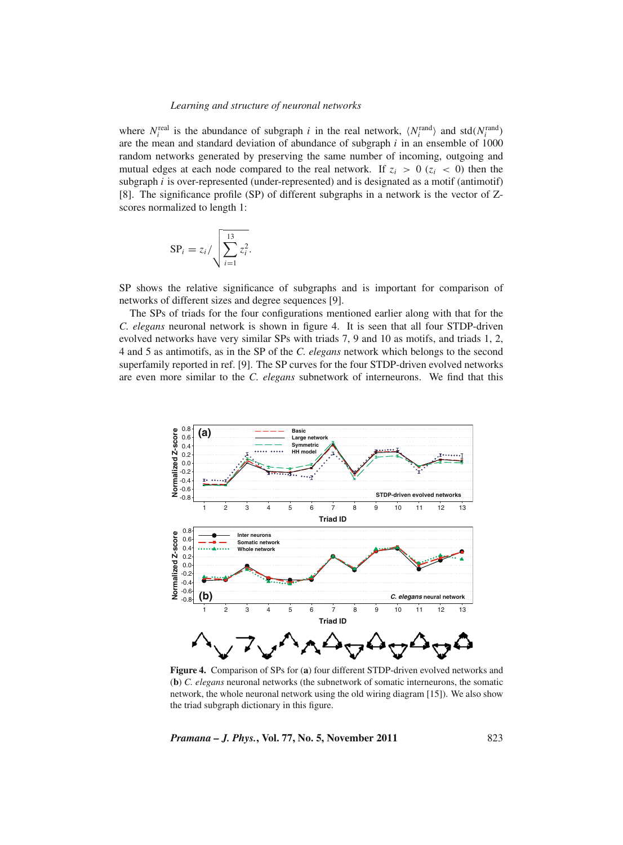where  $N_i^{\text{real}}$  is the abundance of subgraph *i* in the real network,  $\langle N_i^{\text{rand}} \rangle$  and std $(N_i^{\text{rand}})$ are the mean and standard deviation of abundance of subgraph *i* in an ensemble of 1000 random networks generated by preserving the same number of incoming, outgoing and mutual edges at each node compared to the real network. If  $z_i > 0$  ( $z_i < 0$ ) then the subgraph  $i$  is over-represented (under-represented) and is designated as a motif (antimotif) [8]. The significance profile (SP) of different subgraphs in a network is the vector of Zscores normalized to length 1:

$$
\mathrm{SP}_i = z_i / \sqrt{\sum_{i=1}^{13} z_i^2}.
$$

SP shows the relative significance of subgraphs and is important for comparison of networks of different sizes and degree sequences [9].

The SPs of triads for the four configurations mentioned earlier along with that for the *C. elegans* neuronal network is shown in figure 4. It is seen that all four STDP-driven evolved networks have very similar SPs with triads 7, 9 and 10 as motifs, and triads 1, 2, 4 and 5 as antimotifs, as in the SP of the *C. elegans* network which belongs to the second superfamily reported in ref. [9]. The SP curves for the four STDP-driven evolved networks are even more similar to the *C. elegans* subnetwork of interneurons. We find that this



**Figure 4.** Comparison of SPs for (**a**) four different STDP-driven evolved networks and (**b**) *C. elegans* neuronal networks (the subnetwork of somatic interneurons, the somatic network, the whole neuronal network using the old wiring diagram [15]). We also show the triad subgraph dictionary in this figure.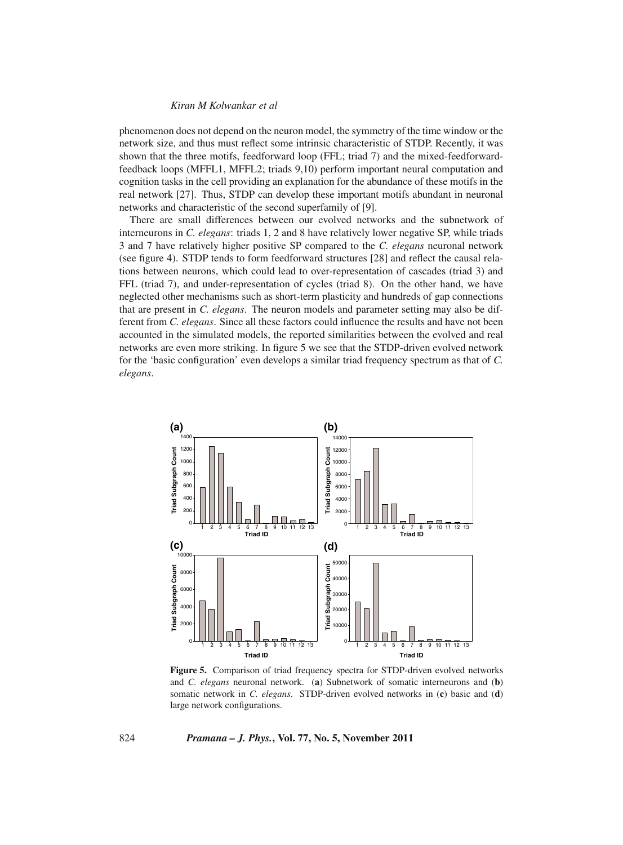phenomenon does not depend on the neuron model, the symmetry of the time window or the network size, and thus must reflect some intrinsic characteristic of STDP. Recently, it was shown that the three motifs, feedforward loop (FFL; triad 7) and the mixed-feedforwardfeedback loops (MFFL1, MFFL2; triads 9,10) perform important neural computation and cognition tasks in the cell providing an explanation for the abundance of these motifs in the real network [27]. Thus, STDP can develop these important motifs abundant in neuronal networks and characteristic of the second superfamily of [9].

There are small differences between our evolved networks and the subnetwork of interneurons in *C. elegans*: triads 1, 2 and 8 have relatively lower negative SP, while triads 3 and 7 have relatively higher positive SP compared to the *C. elegans* neuronal network (see figure 4). STDP tends to form feedforward structures [28] and reflect the causal relations between neurons, which could lead to over-representation of cascades (triad 3) and FFL (triad 7), and under-representation of cycles (triad 8). On the other hand, we have neglected other mechanisms such as short-term plasticity and hundreds of gap connections that are present in *C. elegans*. The neuron models and parameter setting may also be different from *C. elegans*. Since all these factors could influence the results and have not been accounted in the simulated models, the reported similarities between the evolved and real networks are even more striking. In figure 5 we see that the STDP-driven evolved network for the 'basic configuration' even develops a similar triad frequency spectrum as that of *C. elegans*.



**Figure 5.** Comparison of triad frequency spectra for STDP-driven evolved networks and *C. elegans* neuronal network. (**a**) Subnetwork of somatic interneurons and (**b**) somatic network in *C. elegans*. STDP-driven evolved networks in (**c**) basic and (**d**) large network configurations.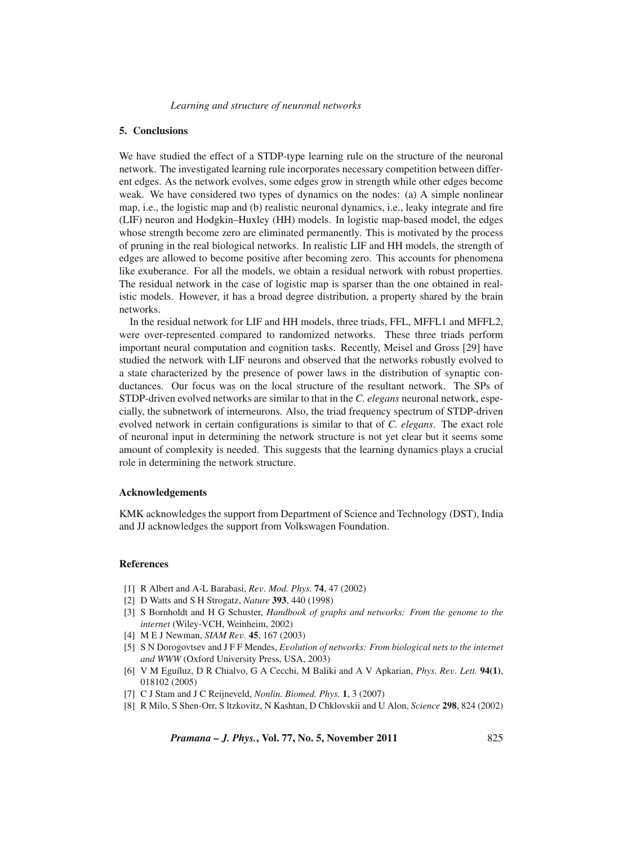# **5. Conclusions**

We have studied the effect of a STDP-type learning rule on the structure of the neuronal network. The investigated learning rule incorporates necessary competition between different edges. As the network evolves, some edges grow in strength while other edges become weak. We have considered two types of dynamics on the nodes: (a) A simple nonlinear map, i.e., the logistic map and (b) realistic neuronal dynamics, i.e., leaky integrate and fire (LIF) neuron and Hodgkin–Huxley (HH) models. In logistic map-based model, the edges whose strength become zero are eliminated permanently. This is motivated by the process of pruning in the real biological networks. In realistic LIF and HH models, the strength of edges are allowed to become positive after becoming zero. This accounts for phenomena like exuberance. For all the models, we obtain a residual network with robust properties. The residual network in the case of logistic map is sparser than the one obtained in realistic models. However, it has a broad degree distribution, a property shared by the brain networks.

In the residual network for LIF and HH models, three triads, FFL, MFFL1 and MFFL2, were over-represented compared to randomized networks. These three triads perform important neural computation and cognition tasks. Recently, Meisel and Gross [29] have studied the network with LIF neurons and observed that the networks robustly evolved to a state characterized by the presence of power laws in the distribution of synaptic conductances. Our focus was on the local structure of the resultant network. The SPs of STDP-driven evolved networks are similar to that in the *C. elegans* neuronal network, especially, the subnetwork of interneurons. Also, the triad frequency spectrum of STDP-driven evolved network in certain configurations is similar to that of *C. elegans*. The exact role of neuronal input in determining the network structure is not yet clear but it seems some amount of complexity is needed. This suggests that the learning dynamics plays a crucial role in determining the network structure.

# **Acknowledgements**

KMK acknowledges the support from Department of Science and Technology (DST), India and JJ acknowledges the support from Volkswagen Foundation.

## **References**

- [1] R Albert and A-L Barabasi, *Re*v*. Mod. Phys.* **74**, 47 (2002)
- [2] D Watts and S H Strogatz, *Nature* **393**, 440 (1998)
- [3] S Bornholdt and H G Schuster, *Handbook of graphs and networks: From the genome to the internet* (Wiley-VCH, Weinheim, 2002)
- [4] M E J Newman, *SIAM Re*v*.* **45**, 167 (2003)
- [5] S N Dorogovtsev and J F F Mendes, *E*v*olution of networks: From biological nets to the internet and WWW* (Oxford University Press, USA, 2003)
- [6] V M Eguíluz, D R Chialvo, G A Cecchi, M Baliki and A V Apkarian, *Phys. Re*v*. Lett.* **94(1)**, 018102 (2005)
- [7] C J Stam and J C Reijneveld, *Nonlin. Biomed. Phys.* **1**, 3 (2007)
- [8] R Milo, S Shen-Orr, S ltzkovitz, N Kashtan, D Chklovskii and U Alon, *Science* **298**, 824 (2002)